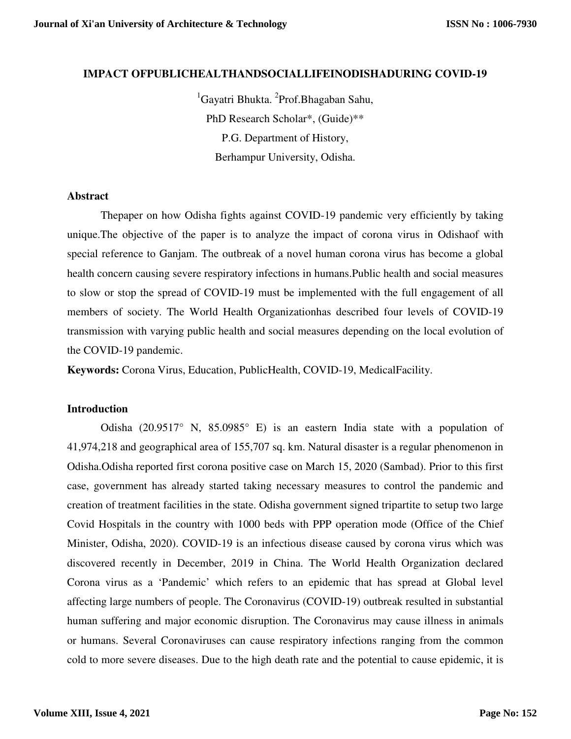# **IMPACT OFPUBLICHEALTHANDSOCIALLIFEINODISHADURING COVID-19**

<sup>1</sup>Gayatri Bhukta. <sup>2</sup>Prof.Bhagaban Sahu, PhD Research Scholar\*, (Guide)\*\* P.G. Department of History, Berhampur University, Odisha.

#### **Abstract**

Thepaper on how Odisha fights against COVID-19 pandemic very efficiently by taking unique.The objective of the paper is to analyze the impact of corona virus in Odishaof with special reference to Ganjam. The outbreak of a novel human corona virus has become a global health concern causing severe respiratory infections in humans.Public health and social measures to slow or stop the spread of COVID-19 must be implemented with the full engagement of all members of society. The World Health Organizationhas described four levels of COVID-19 transmission with varying public health and social measures depending on the local evolution of the COVID-19 pandemic.

**Keywords:** Corona Virus, Education, PublicHealth, COVID-19, MedicalFacility.

#### **Introduction**

Odisha (20.9517° N, 85.0985° E) is an eastern India state with a population of 41,974,218 and geographical area of 155,707 sq. km. Natural disaster is a regular phenomenon in Odisha.Odisha reported first corona positive case on March 15, 2020 (Sambad). Prior to this first case, government has already started taking necessary measures to control the pandemic and creation of treatment facilities in the state. Odisha government signed tripartite to setup two large Covid Hospitals in the country with 1000 beds with PPP operation mode (Office of the Chief Minister, Odisha, 2020). COVID-19 is an infectious disease caused by corona virus which was discovered recently in December, 2019 in China. The World Health Organization declared Corona virus as a 'Pandemic' which refers to an epidemic that has spread at Global level affecting large numbers of people. The Coronavirus (COVID-19) outbreak resulted in substantial human suffering and major economic disruption. The Coronavirus may cause illness in animals or humans. Several Coronaviruses can cause respiratory infections ranging from the common cold to more severe diseases. Due to the high death rate and the potential to cause epidemic, it is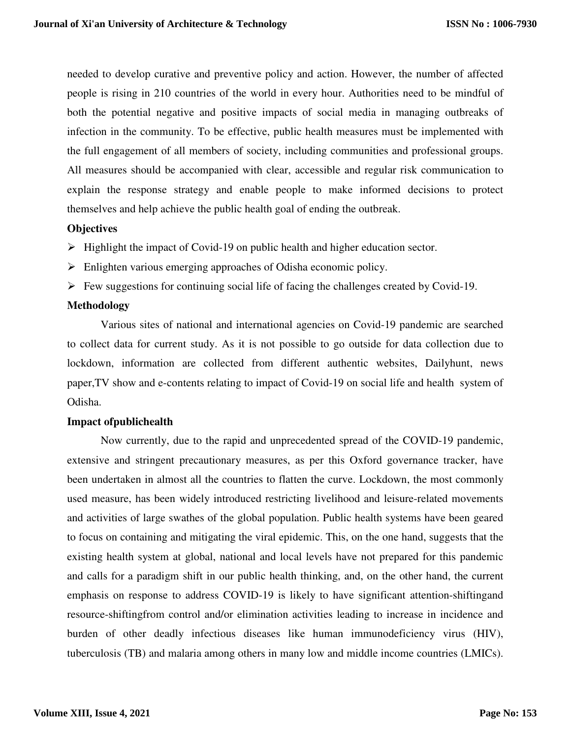needed to develop curative and preventive policy and action. However, the number of affected people is rising in 210 countries of the world in every hour. Authorities need to be mindful of both the potential negative and positive impacts of social media in managing outbreaks of infection in the community. To be effective, public health measures must be implemented with the full engagement of all members of society, including communities and professional groups. All measures should be accompanied with clear, accessible and regular risk communication to explain the response strategy and enable people to make informed decisions to protect themselves and help achieve the public health goal of ending the outbreak.

# **Objectives**

- $\triangleright$  Highlight the impact of Covid-19 on public health and higher education sector.
- Enlighten various emerging approaches of Odisha economic policy.
- $\triangleright$  Few suggestions for continuing social life of facing the challenges created by Covid-19.

# **Methodology**

Various sites of national and international agencies on Covid-19 pandemic are searched to collect data for current study. As it is not possible to go outside for data collection due to lockdown, information are collected from different authentic websites, Dailyhunt, news paper,TV show and e-contents relating to impact of Covid-19 on social life and health system of Odisha.

#### **Impact ofpublichealth**

Now currently, due to the rapid and unprecedented spread of the COVID-19 pandemic, extensive and stringent precautionary measures, as per this Oxford governance tracker, have been undertaken in almost all the countries to flatten the curve. Lockdown, the most commonly used measure, has been widely introduced restricting livelihood and leisure-related movements and activities of large swathes of the global population. Public health systems have been geared to focus on containing and mitigating the viral epidemic. This, on the one hand, suggests that the existing health system at global, national and local levels have not prepared for this pandemic and calls for a paradigm shift in our public health thinking, and, on the other hand, the current emphasis on response to address COVID-19 is likely to have significant attention-shiftingand resource-shiftingfrom control and/or elimination activities leading to increase in incidence and burden of other deadly infectious diseases like human immunodeficiency virus (HIV), tuberculosis (TB) and malaria among others in many low and middle income countries (LMICs).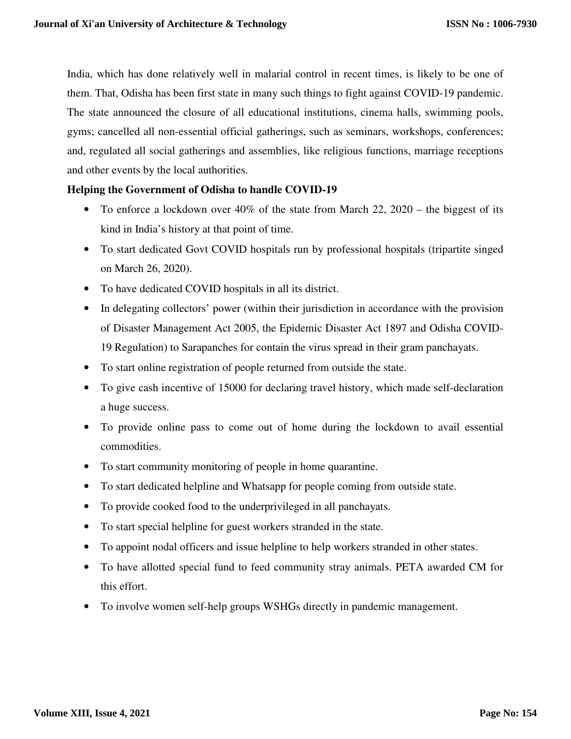India, which has done relatively well in malarial control in recent times, is likely to be one of them. That, Odisha has been first state in many such things to fight against COVID-19 pandemic. The state announced the closure of all educational institutions, cinema halls, swimming pools, gyms; cancelled all non-essential official gatherings, such as seminars, workshops, conferences; and, regulated all social gatherings and assemblies, like religious functions, marriage receptions and other events by the local authorities.

# **Helping the Government of Odisha to handle COVID-19**

- To enforce a lockdown over 40% of the state from March 22, 2020 the biggest of its kind in India's history at that point of time.
- To start dedicated Govt COVID hospitals run by professional hospitals (tripartite singed on March 26, 2020).
- To have dedicated COVID hospitals in all its district.
- In delegating collectors' power (within their jurisdiction in accordance with the provision of Disaster Management Act 2005, the Epidemic Disaster Act 1897 and Odisha COVID-19 Regulation) to Sarapanches for contain the virus spread in their gram panchayats.
- To start online registration of people returned from outside the state.
- To give cash incentive of 15000 for declaring travel history, which made self-declaration a huge success.
- To provide online pass to come out of home during the lockdown to avail essential commodities.
- To start community monitoring of people in home quarantine.
- To start dedicated helpline and Whatsapp for people coming from outside state.
- To provide cooked food to the underprivileged in all panchayats.
- To start special helpline for guest workers stranded in the state.
- To appoint nodal officers and issue helpline to help workers stranded in other states.
- To have allotted special fund to feed community stray animals. PETA awarded CM for this effort.
- To involve women self-help groups WSHGs directly in pandemic management.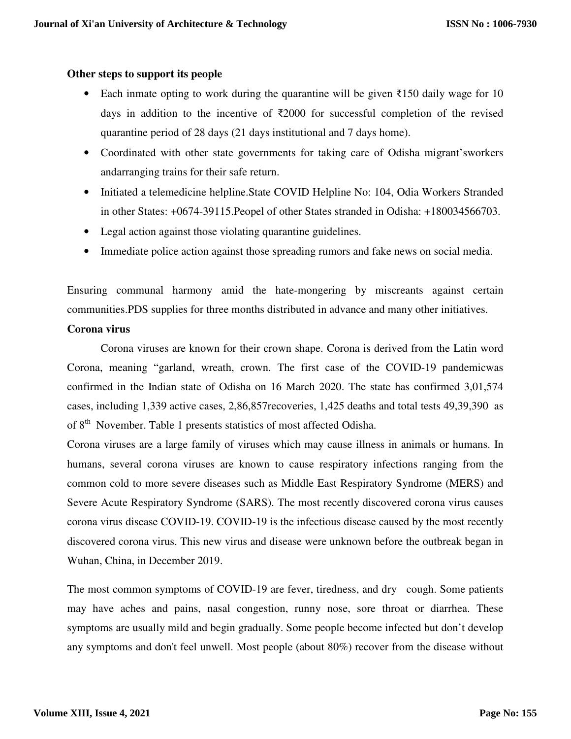# **Other steps to support its people**

- Each inmate opting to work during the quarantine will be given  $\bar{\epsilon}$ 150 daily wage for 10 days in addition to the incentive of  $\overline{22000}$  for successful completion of the revised quarantine period of 28 days (21 days institutional and 7 days home).
- Coordinated with other state governments for taking care of Odisha migrant'sworkers andarranging trains for their safe return.
- Initiated a telemedicine helpline. State COVID Helpline No: 104, Odia Workers Stranded in other States: +0674-39115.Peopel of other States stranded in Odisha: +180034566703.
- Legal action against those violating quarantine guidelines.
- Immediate police action against those spreading rumors and fake news on social media.

Ensuring communal harmony amid the hate-mongering by miscreants against certain communities.PDS supplies for three months distributed in advance and many other initiatives.

# **Corona virus**

Corona viruses are known for their crown shape. Corona is derived from the Latin word Corona, meaning "garland, wreath, crown. The first case of the COVID-19 pandemicwas confirmed in the Indian state of Odisha on 16 March 2020. The state has confirmed 3,01,574 cases, including 1,339 active cases, 2,86,857recoveries, 1,425 deaths and total tests 49,39,390 as of 8<sup>th</sup> November. Table 1 presents statistics of most affected Odisha.

Corona viruses are a large family of viruses which may cause illness in animals or humans. In humans, several corona viruses are known to cause respiratory infections ranging from the common cold to more severe diseases such as Middle East Respiratory Syndrome (MERS) and Severe Acute Respiratory Syndrome (SARS). The most recently discovered corona virus causes corona virus disease COVID-19. COVID-19 is the infectious disease caused by the most recently discovered corona virus. This new virus and disease were unknown before the outbreak began in Wuhan, China, in December 2019.

The most common symptoms of COVID-19 are fever, tiredness, and dry cough. Some patients may have aches and pains, nasal congestion, runny nose, sore throat or diarrhea. These symptoms are usually mild and begin gradually. Some people become infected but don't develop any symptoms and don't feel unwell. Most people (about 80%) recover from the disease without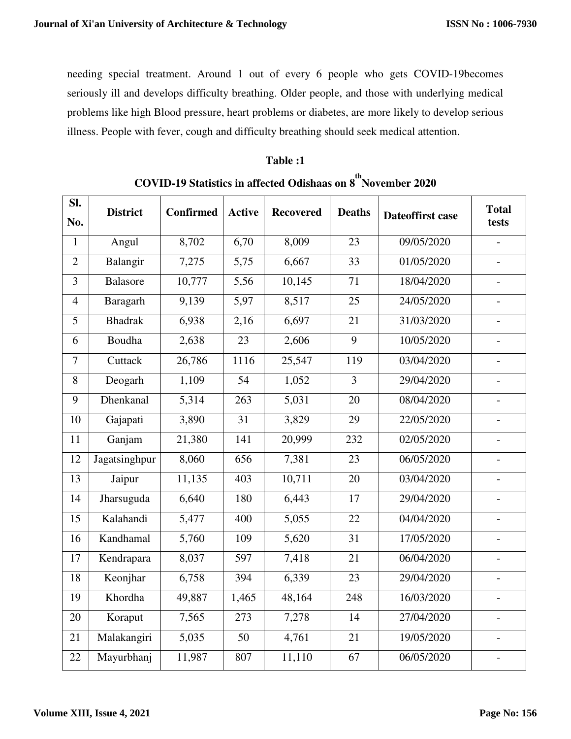needing special treatment. Around 1 out of every 6 people who gets COVID-19becomes seriously ill and develops difficulty breathing. Older people, and those with underlying medical problems like high Blood pressure, heart problems or diabetes, are more likely to develop serious illness. People with fever, cough and difficulty breathing should seek medical attention.

# **Table :1**

| SI.            | <b>District</b> | <b>Confirmed</b> | <b>Active</b> | <b>Recovered</b> | <b>Deaths</b>  | Dateoffirst case | <b>Total</b><br>tests    |
|----------------|-----------------|------------------|---------------|------------------|----------------|------------------|--------------------------|
| No.            |                 |                  |               |                  |                |                  |                          |
| $\mathbf{1}$   | Angul           | 8,702            | 6,70          | 8,009            | 23             | 09/05/2020       | $\overline{\phantom{0}}$ |
| $\overline{2}$ | Balangir        | 7,275            | 5,75          | 6,667            | 33             | 01/05/2020       | $\overline{\phantom{0}}$ |
| 3              | <b>Balasore</b> | 10,777           | 5,56          | 10,145           | 71             | 18/04/2020       | $\overline{\phantom{a}}$ |
| $\overline{4}$ | Baragarh        | 9,139            | 5,97          | 8,517            | 25             | 24/05/2020       | $\overline{\phantom{0}}$ |
| 5              | <b>Bhadrak</b>  | 6,938            | 2,16          | 6,697            | 21             | 31/03/2020       | $\overline{a}$           |
| 6              | Boudha          | 2,638            | 23            | 2,606            | 9              | 10/05/2020       | $\overline{a}$           |
| $\overline{7}$ | Cuttack         | 26,786           | 1116          | 25,547           | 119            | 03/04/2020       | $\overline{\phantom{0}}$ |
| 8              | Deogarh         | 1,109            | 54            | 1,052            | $\overline{3}$ | 29/04/2020       | $\overline{\phantom{0}}$ |
| 9              | Dhenkanal       | 5,314            | 263           | 5,031            | 20             | 08/04/2020       | $\overline{a}$           |
| 10             | Gajapati        | 3,890            | 31            | 3,829            | 29             | 22/05/2020       | $\overline{\phantom{0}}$ |
| 11             | Ganjam          | 21,380           | 141           | 20,999           | 232            | 02/05/2020       | $\overline{a}$           |
| 12             | Jagatsinghpur   | 8,060            | 656           | 7,381            | 23             | 06/05/2020       |                          |
| 13             | Jaipur          | 11,135           | 403           | 10,711           | 20             | 03/04/2020       | $\overline{\phantom{a}}$ |
| 14             | Jharsuguda      | 6,640            | 180           | 6,443            | 17             | 29/04/2020       | $\overline{\phantom{a}}$ |
| 15             | Kalahandi       | 5,477            | 400           | 5,055            | 22             | 04/04/2020       |                          |
| 16             | Kandhamal       | 5,760            | 109           | 5,620            | 31             | 17/05/2020       | $\overline{\phantom{0}}$ |
| 17             | Kendrapara      | 8,037            | 597           | 7,418            | 21             | 06/04/2020       | $\overline{\phantom{0}}$ |
| 18             | Keonjhar        | 6,758            | 394           | 6,339            | 23             | 29/04/2020       | $\overline{a}$           |
| 19             | Khordha         | 49,887           | 1,465         | 48,164           | 248            | 16/03/2020       | $\overline{a}$           |
| 20             | Koraput         | 7,565            | 273           | 7,278            | 14             | 27/04/2020       | $\qquad \qquad -$        |
| 21             | Malakangiri     | 5,035            | 50            | 4,761            | 21             | 19/05/2020       | $\overline{\phantom{0}}$ |
| 22             | Mayurbhanj      | 11,987           | 807           | 11,110           | 67             | 06/05/2020       | $\overline{\phantom{0}}$ |

# **COVID-19 Statistics in affected Odishaas on 8 th November 2020**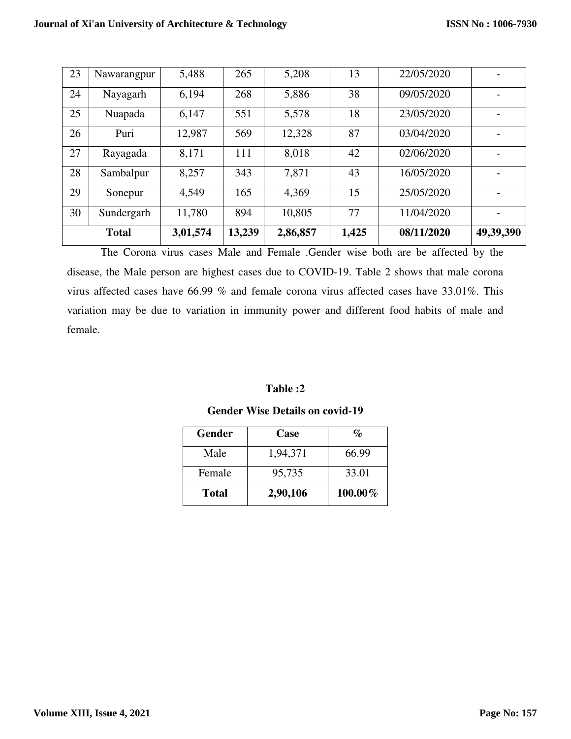| 23 | Nawarangpur  | 5,488    | 265    | 5,208    | 13    | 22/05/2020 |                          |
|----|--------------|----------|--------|----------|-------|------------|--------------------------|
| 24 | Nayagarh     | 6,194    | 268    | 5,886    | 38    | 09/05/2020 |                          |
| 25 | Nuapada      | 6,147    | 551    | 5,578    | 18    | 23/05/2020 |                          |
| 26 | Puri         | 12,987   | 569    | 12,328   | 87    | 03/04/2020 |                          |
| 27 | Rayagada     | 8,171    | 111    | 8,018    | 42    | 02/06/2020 |                          |
| 28 | Sambalpur    | 8,257    | 343    | 7,871    | 43    | 16/05/2020 |                          |
| 29 | Sonepur      | 4,549    | 165    | 4,369    | 15    | 25/05/2020 |                          |
| 30 | Sundergarh   | 11,780   | 894    | 10,805   | 77    | 11/04/2020 | $\overline{\phantom{a}}$ |
|    | <b>Total</b> | 3,01,574 | 13,239 | 2,86,857 | 1,425 | 08/11/2020 | 49,39,390                |

The Corona virus cases Male and Female .Gender wise both are be affected by the disease, the Male person are highest cases due to COVID-19. Table 2 shows that male corona virus affected cases have 66.99 % and female corona virus affected cases have 33.01%. This variation may be due to variation in immunity power and different food habits of male and female.

# **Table :2**

# **Gender Wise Details on covid-19**

| Gender | <b>Case</b> | $\mathbf{q}_{\mathbf{p}}$ |
|--------|-------------|---------------------------|
| Male   | 1,94,371    | 66.99                     |
| Female | 95,735      | 33.01                     |
| Total  | 2,90,106    | $100.00\%$                |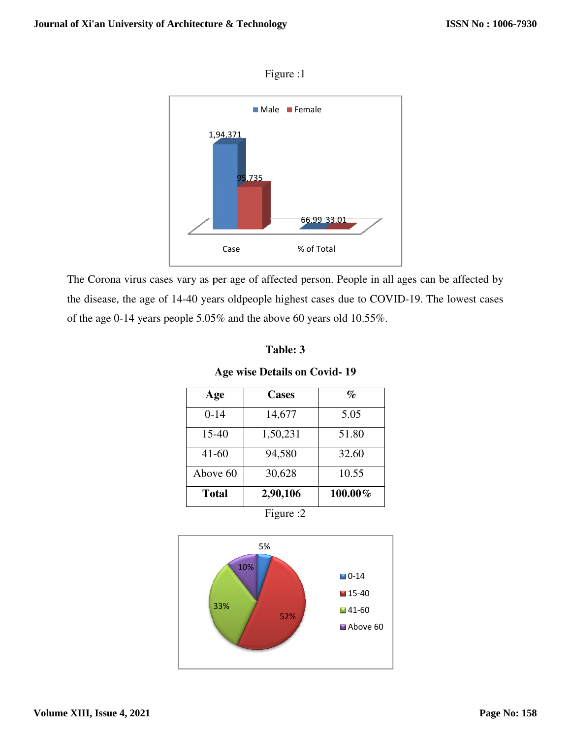

Figure :1

The Corona virus cases vary as per age of affected person. People in all ages can be affected by The Corona virus cases vary as per age of affected person. People in all ages can be affected by the disease, the age of 14-40 years oldpeople highest cases due to COVID-19. The lowest cases of the age 0-14 years people  $5.05\%$  and the above 60 years old 10.55%.

| l'able: |  |
|---------|--|
|---------|--|

# **Age wise Details on Covid- 19**

| Age          | <b>Cases</b> | $\%$    |
|--------------|--------------|---------|
| $0 - 14$     | 14,677       | 5.05    |
| 15-40        | 1,50,231     | 51.80   |
| $41 - 60$    | 94,580       | 32.60   |
| Above 60     | 30,628       | 10.55   |
| <b>Total</b> | 2,90,106     | 100.00% |

Figure :2

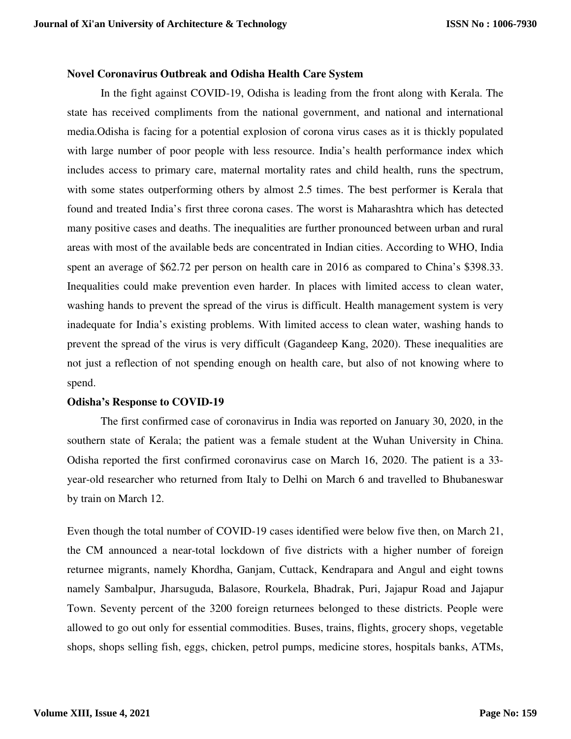#### **Novel Coronavirus Outbreak and Odisha Health Care System**

In the fight against COVID-19, Odisha is leading from the front along with Kerala. The state has received compliments from the national government, and national and international media.Odisha is facing for a potential explosion of corona virus cases as it is thickly populated with large number of poor people with less resource. India's health performance index which includes access to primary care, maternal mortality rates and child health, runs the spectrum, with some states outperforming others by almost 2.5 times. The best performer is Kerala that found and treated India's first three corona cases. The worst is Maharashtra which has detected many positive cases and deaths. The inequalities are further pronounced between urban and rural areas with most of the available beds are concentrated in Indian cities. According to WHO, India spent an average of \$62.72 per person on health care in 2016 as compared to China's \$398.33. Inequalities could make prevention even harder. In places with limited access to clean water, washing hands to prevent the spread of the virus is difficult. Health management system is very inadequate for India's existing problems. With limited access to clean water, washing hands to prevent the spread of the virus is very difficult (Gagandeep Kang, 2020). These inequalities are not just a reflection of not spending enough on health care, but also of not knowing where to spend.

#### **Odisha's Response to COVID-19**

The first confirmed case of coronavirus in India was reported on January 30, 2020, in the southern state of Kerala; the patient was a female student at the Wuhan University in China. Odisha reported the first confirmed coronavirus case on March 16, 2020. The patient is a 33 year-old researcher who returned from Italy to Delhi on March 6 and travelled to Bhubaneswar by train on March 12.

Even though the total number of COVID-19 cases identified were below five then, on March 21, the CM announced a near-total lockdown of five districts with a higher number of foreign returnee migrants, namely Khordha, Ganjam, Cuttack, Kendrapara and Angul and eight towns namely Sambalpur, Jharsuguda, Balasore, Rourkela, Bhadrak, Puri, Jajapur Road and Jajapur Town. Seventy percent of the 3200 foreign returnees belonged to these districts. People were allowed to go out only for essential commodities. Buses, trains, flights, grocery shops, vegetable shops, shops selling fish, eggs, chicken, petrol pumps, medicine stores, hospitals banks, ATMs,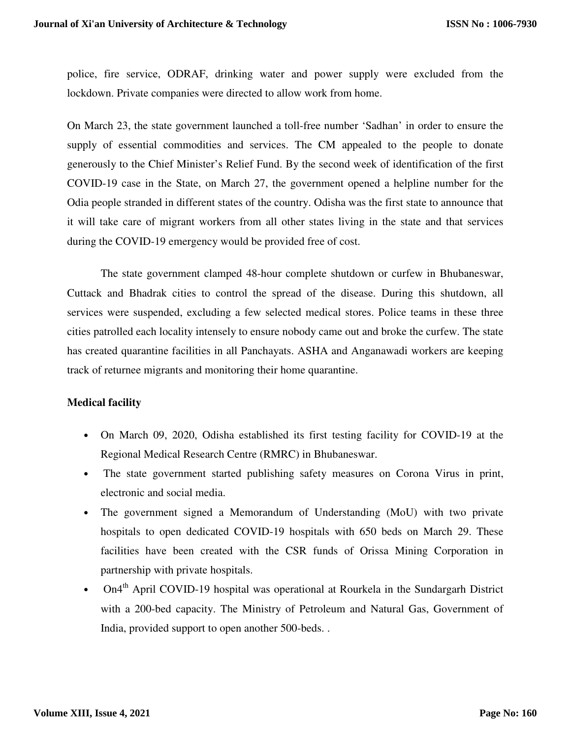police, fire service, ODRAF, drinking water and power supply were excluded from the lockdown. Private companies were directed to allow work from home.

On March 23, the state government launched a toll-free number 'Sadhan' in order to ensure the supply of essential commodities and services. The CM appealed to the people to donate generously to the Chief Minister's Relief Fund. By the second week of identification of the first COVID-19 case in the State, on March 27, the government opened a helpline number for the Odia people stranded in different states of the country. Odisha was the first state to announce that it will take care of migrant workers from all other states living in the state and that services during the COVID-19 emergency would be provided free of cost.

 The state government clamped 48-hour complete shutdown or curfew in Bhubaneswar, Cuttack and Bhadrak cities to control the spread of the disease. During this shutdown, all services were suspended, excluding a few selected medical stores. Police teams in these three cities patrolled each locality intensely to ensure nobody came out and broke the curfew. The state has created quarantine facilities in all Panchayats. ASHA and Anganawadi workers are keeping track of returnee migrants and monitoring their home quarantine.

# **Medical facility**

- On March 09, 2020, Odisha established its first testing facility for COVID-19 at the Regional Medical Research Centre (RMRC) in Bhubaneswar.
- The state government started publishing safety measures on Corona Virus in print, electronic and social media.
- The government signed a Memorandum of Understanding (MoU) with two private hospitals to open dedicated COVID-19 hospitals with 650 beds on March 29. These facilities have been created with the CSR funds of Orissa Mining Corporation in partnership with private hospitals.
- On4<sup>th</sup> April COVID-19 hospital was operational at Rourkela in the Sundargarh District with a 200-bed capacity. The Ministry of Petroleum and Natural Gas, Government of India, provided support to open another 500-beds. .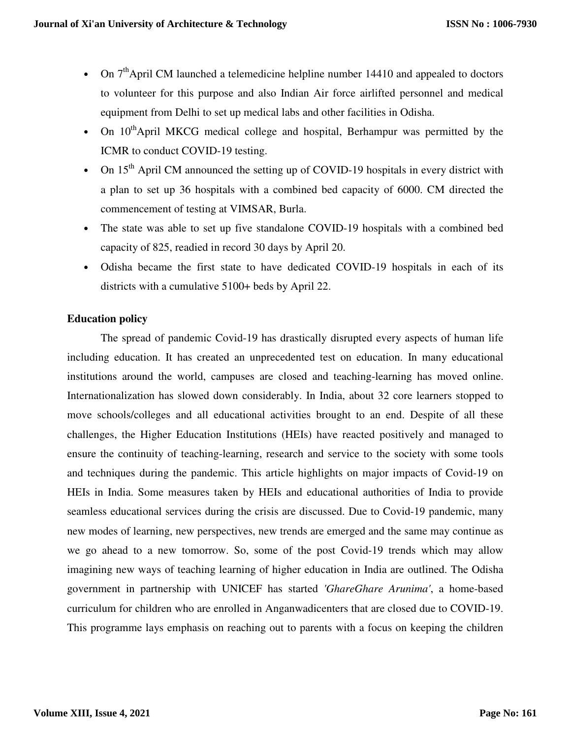- On  $7<sup>th</sup>$  April CM launched a telemedicine helpline number 14410 and appealed to doctors to volunteer for this purpose and also Indian Air force airlifted personnel and medical equipment from Delhi to set up medical labs and other facilities in Odisha.
- On  $10^{th}$ April MKCG medical college and hospital, Berhampur was permitted by the ICMR to conduct COVID-19 testing.
- On  $15<sup>th</sup>$  April CM announced the setting up of COVID-19 hospitals in every district with a plan to set up 36 hospitals with a combined bed capacity of 6000. CM directed the commencement of testing at VIMSAR, Burla.
- The state was able to set up five standalone COVID-19 hospitals with a combined bed capacity of 825, readied in record 30 days by April 20.
- Odisha became the first state to have dedicated COVID-19 hospitals in each of its districts with a cumulative 5100+ beds by April 22.

# **Education policy**

The spread of pandemic Covid-19 has drastically disrupted every aspects of human life including education. It has created an unprecedented test on education. In many educational institutions around the world, campuses are closed and teaching-learning has moved online. Internationalization has slowed down considerably. In India, about 32 core learners stopped to move schools/colleges and all educational activities brought to an end. Despite of all these challenges, the Higher Education Institutions (HEIs) have reacted positively and managed to ensure the continuity of teaching-learning, research and service to the society with some tools and techniques during the pandemic. This article highlights on major impacts of Covid-19 on HEIs in India. Some measures taken by HEIs and educational authorities of India to provide seamless educational services during the crisis are discussed. Due to Covid-19 pandemic, many new modes of learning, new perspectives, new trends are emerged and the same may continue as we go ahead to a new tomorrow. So, some of the post Covid-19 trends which may allow imagining new ways of teaching learning of higher education in India are outlined. The Odisha government in partnership with UNICEF has started *'GhareGhare Arunima'*, a home-based curriculum for children who are enrolled in Anganwadicenters that are closed due to COVID-19. This programme lays emphasis on reaching out to parents with a focus on keeping the children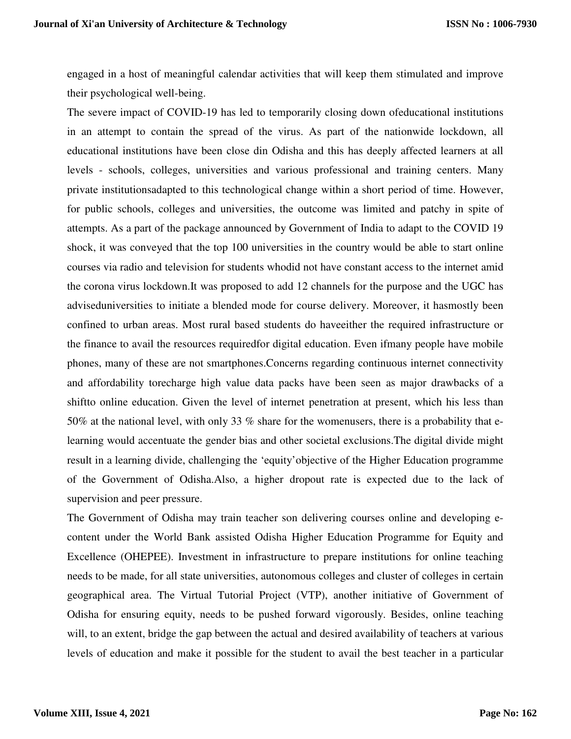engaged in a host of meaningful calendar activities that will keep them stimulated and improve their psychological well-being.

The severe impact of COVID-19 has led to temporarily closing down ofeducational institutions in an attempt to contain the spread of the virus. As part of the nationwide lockdown, all educational institutions have been close din Odisha and this has deeply affected learners at all levels - schools, colleges, universities and various professional and training centers. Many private institutionsadapted to this technological change within a short period of time. However, for public schools, colleges and universities, the outcome was limited and patchy in spite of attempts. As a part of the package announced by Government of India to adapt to the COVID 19 shock, it was conveyed that the top 100 universities in the country would be able to start online courses via radio and television for students whodid not have constant access to the internet amid the corona virus lockdown.It was proposed to add 12 channels for the purpose and the UGC has adviseduniversities to initiate a blended mode for course delivery. Moreover, it hasmostly been confined to urban areas. Most rural based students do haveeither the required infrastructure or the finance to avail the resources requiredfor digital education. Even ifmany people have mobile phones, many of these are not smartphones.Concerns regarding continuous internet connectivity and affordability torecharge high value data packs have been seen as major drawbacks of a shiftto online education. Given the level of internet penetration at present, which his less than 50% at the national level, with only 33 % share for the womenusers, there is a probability that elearning would accentuate the gender bias and other societal exclusions.The digital divide might result in a learning divide, challenging the 'equity'objective of the Higher Education programme of the Government of Odisha.Also, a higher dropout rate is expected due to the lack of supervision and peer pressure.

The Government of Odisha may train teacher son delivering courses online and developing econtent under the World Bank assisted Odisha Higher Education Programme for Equity and Excellence (OHEPEE). Investment in infrastructure to prepare institutions for online teaching needs to be made, for all state universities, autonomous colleges and cluster of colleges in certain geographical area. The Virtual Tutorial Project (VTP), another initiative of Government of Odisha for ensuring equity, needs to be pushed forward vigorously. Besides, online teaching will, to an extent, bridge the gap between the actual and desired availability of teachers at various levels of education and make it possible for the student to avail the best teacher in a particular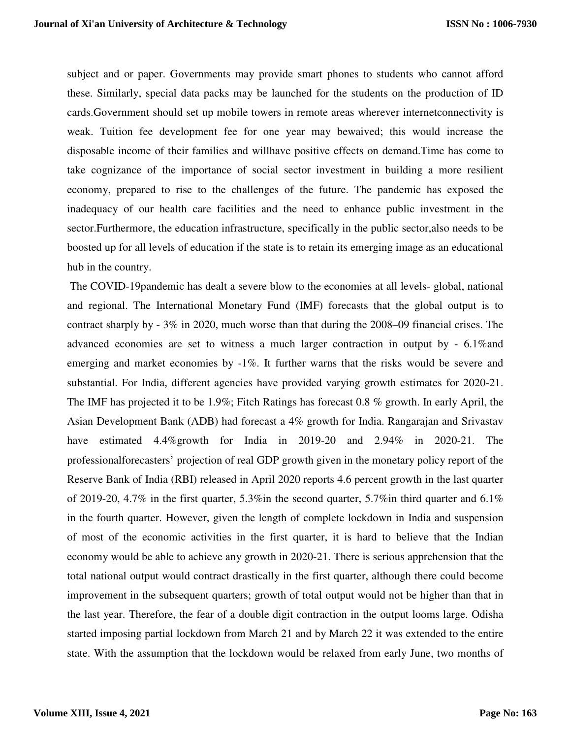subject and or paper. Governments may provide smart phones to students who cannot afford these. Similarly, special data packs may be launched for the students on the production of ID cards.Government should set up mobile towers in remote areas wherever internetconnectivity is weak. Tuition fee development fee for one year may bewaived; this would increase the disposable income of their families and willhave positive effects on demand.Time has come to take cognizance of the importance of social sector investment in building a more resilient economy, prepared to rise to the challenges of the future. The pandemic has exposed the inadequacy of our health care facilities and the need to enhance public investment in the sector.Furthermore, the education infrastructure, specifically in the public sector,also needs to be boosted up for all levels of education if the state is to retain its emerging image as an educational hub in the country.

 The COVID-19pandemic has dealt a severe blow to the economies at all levels- global, national and regional. The International Monetary Fund (IMF) forecasts that the global output is to contract sharply by  $-3\%$  in 2020, much worse than that during the 2008–09 financial crises. The advanced economies are set to witness a much larger contraction in output by - 6.1%and emerging and market economies by -1%. It further warns that the risks would be severe and substantial. For India, different agencies have provided varying growth estimates for 2020-21. The IMF has projected it to be 1.9%; Fitch Ratings has forecast 0.8 % growth. In early April, the Asian Development Bank (ADB) had forecast a 4% growth for India. Rangarajan and Srivastav have estimated 4.4%growth for India in 2019-20 and 2.94% in 2020-21. The professionalforecasters' projection of real GDP growth given in the monetary policy report of the Reserve Bank of India (RBI) released in April 2020 reports 4.6 percent growth in the last quarter of 2019-20, 4.7% in the first quarter, 5.3%in the second quarter, 5.7%in third quarter and 6.1% in the fourth quarter. However, given the length of complete lockdown in India and suspension of most of the economic activities in the first quarter, it is hard to believe that the Indian economy would be able to achieve any growth in 2020-21. There is serious apprehension that the total national output would contract drastically in the first quarter, although there could become improvement in the subsequent quarters; growth of total output would not be higher than that in the last year. Therefore, the fear of a double digit contraction in the output looms large. Odisha started imposing partial lockdown from March 21 and by March 22 it was extended to the entire state. With the assumption that the lockdown would be relaxed from early June, two months of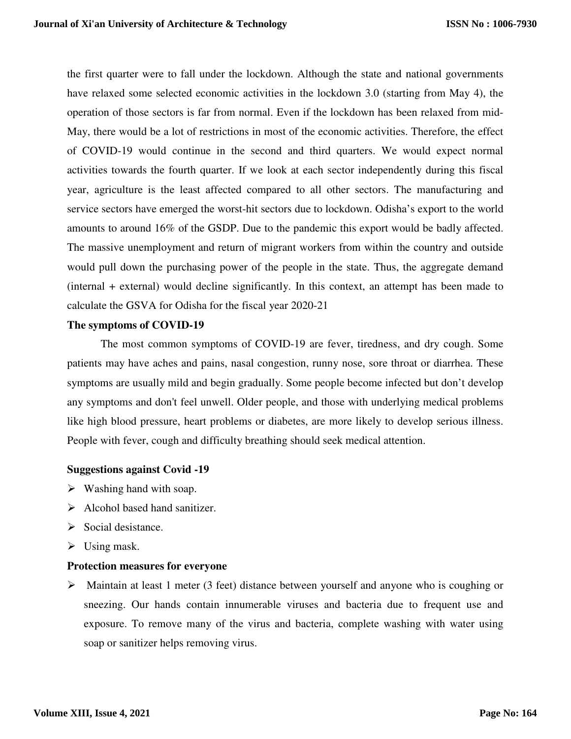the first quarter were to fall under the lockdown. Although the state and national governments have relaxed some selected economic activities in the lockdown 3.0 (starting from May 4), the operation of those sectors is far from normal. Even if the lockdown has been relaxed from mid-May, there would be a lot of restrictions in most of the economic activities. Therefore, the effect of COVID-19 would continue in the second and third quarters. We would expect normal activities towards the fourth quarter. If we look at each sector independently during this fiscal year, agriculture is the least affected compared to all other sectors. The manufacturing and service sectors have emerged the worst-hit sectors due to lockdown. Odisha's export to the world amounts to around 16% of the GSDP. Due to the pandemic this export would be badly affected. The massive unemployment and return of migrant workers from within the country and outside would pull down the purchasing power of the people in the state. Thus, the aggregate demand (internal + external) would decline significantly. In this context, an attempt has been made to calculate the GSVA for Odisha for the fiscal year 2020-21

# **The symptoms of COVID-19**

The most common symptoms of COVID-19 are fever, tiredness, and dry cough. Some patients may have aches and pains, nasal congestion, runny nose, sore throat or diarrhea. These symptoms are usually mild and begin gradually. Some people become infected but don't develop any symptoms and don't feel unwell. Older people, and those with underlying medical problems like high blood pressure, heart problems or diabetes, are more likely to develop serious illness. People with fever, cough and difficulty breathing should seek medical attention.

# **Suggestions against Covid -19**

- $\triangleright$  Washing hand with soap.
- $\triangleright$  Alcohol based hand sanitizer.
- $\triangleright$  Social desistance.
- $\triangleright$  Using mask.

# **Protection measures for everyone**

 Maintain at least 1 meter (3 feet) distance between yourself and anyone who is coughing or sneezing. Our hands contain innumerable viruses and bacteria due to frequent use and exposure. To remove many of the virus and bacteria, complete washing with water using soap or sanitizer helps removing virus.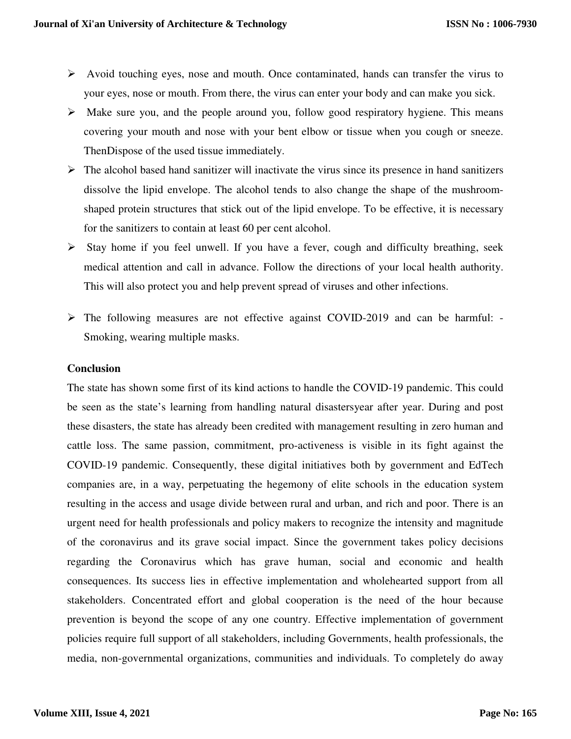- $\triangleright$  Avoid touching eyes, nose and mouth. Once contaminated, hands can transfer the virus to your eyes, nose or mouth. From there, the virus can enter your body and can make you sick.
- $\triangleright$  Make sure you, and the people around you, follow good respiratory hygiene. This means covering your mouth and nose with your bent elbow or tissue when you cough or sneeze. ThenDispose of the used tissue immediately.
- $\triangleright$  The alcohol based hand sanitizer will inactivate the virus since its presence in hand sanitizers dissolve the lipid envelope. The alcohol tends to also change the shape of the mushroomshaped protein structures that stick out of the lipid envelope. To be effective, it is necessary for the sanitizers to contain at least 60 per cent alcohol.
- $\triangleright$  Stay home if you feel unwell. If you have a fever, cough and difficulty breathing, seek medical attention and call in advance. Follow the directions of your local health authority. This will also protect you and help prevent spread of viruses and other infections.
- The following measures are not effective against COVID-2019 and can be harmful: Smoking, wearing multiple masks.

# **Conclusion**

The state has shown some first of its kind actions to handle the COVID-19 pandemic. This could be seen as the state's learning from handling natural disastersyear after year. During and post these disasters, the state has already been credited with management resulting in zero human and cattle loss. The same passion, commitment, pro-activeness is visible in its fight against the COVID-19 pandemic. Consequently, these digital initiatives both by government and EdTech companies are, in a way, perpetuating the hegemony of elite schools in the education system resulting in the access and usage divide between rural and urban, and rich and poor. There is an urgent need for health professionals and policy makers to recognize the intensity and magnitude of the coronavirus and its grave social impact. Since the government takes policy decisions regarding the Coronavirus which has grave human, social and economic and health consequences. Its success lies in effective implementation and wholehearted support from all stakeholders. Concentrated effort and global cooperation is the need of the hour because prevention is beyond the scope of any one country. Effective implementation of government policies require full support of all stakeholders, including Governments, health professionals, the media, non-governmental organizations, communities and individuals. To completely do away